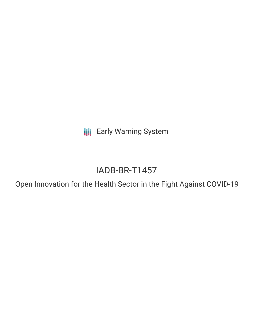**III** Early Warning System

# IADB-BR-T1457

Open Innovation for the Health Sector in the Fight Against COVID-19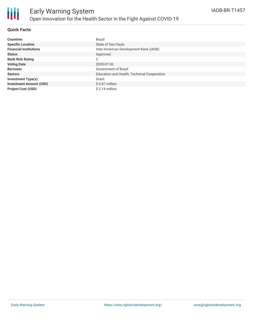

### **Quick Facts**

| <b>Countries</b>               | <b>Brazil</b>                               |
|--------------------------------|---------------------------------------------|
| <b>Specific Location</b>       | State of Sao Paulo                          |
| <b>Financial Institutions</b>  | Inter-American Development Bank (IADB)      |
| <b>Status</b>                  | Approved                                    |
| <b>Bank Risk Rating</b>        | С                                           |
| <b>Voting Date</b>             | 2020-07-30                                  |
| <b>Borrower</b>                | Government of Brazil                        |
| <b>Sectors</b>                 | Education and Health, Technical Cooperation |
| <b>Investment Type(s)</b>      | Grant                                       |
| <b>Investment Amount (USD)</b> | $$0.87$ million                             |
| <b>Project Cost (USD)</b>      | $$2.14$ million                             |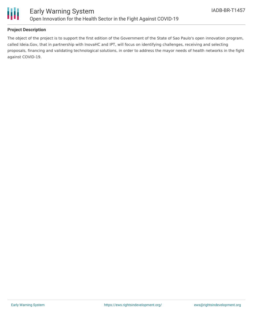

### **Project Description**

The object of the project is to support the first edition of the Government of the State of Sao Paulo's open innovation program, called Ideia.Gov, that in partnership with InovaHC and IPT, will focus on identifying challenges, receiving and selecting proposals, financing and validating technological solutions, in order to address the mayor needs of health networks in the fight against COVID-19.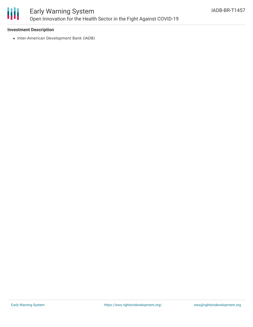

# Early Warning System Open Innovation for the Health Sector in the Fight Against COVID-19

### **Investment Description**

• Inter-American Development Bank (IADB)